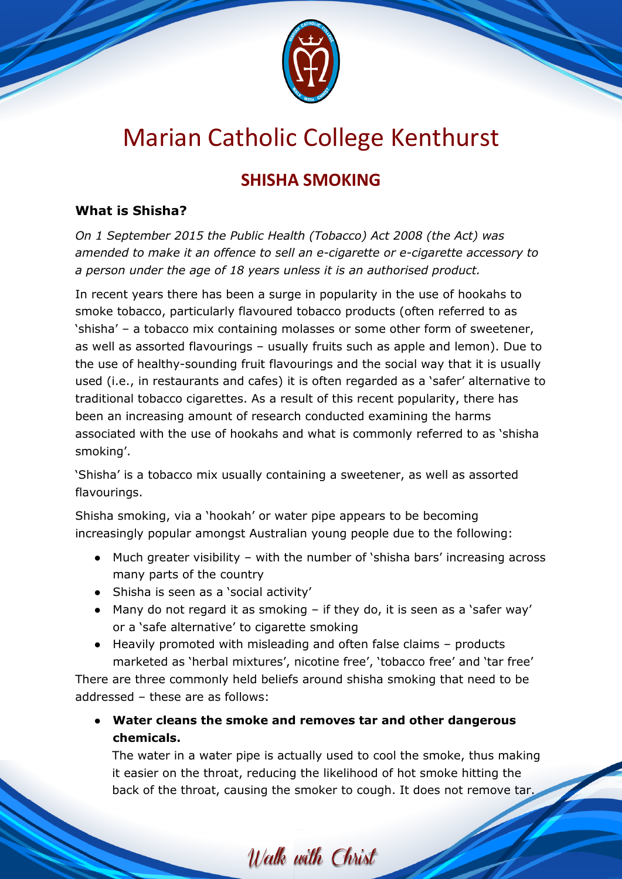

## Marian Catholic College Kenthurst

## **SHISHA SMOKING**

## **What is Shisha?**

*On 1 September 2015 the Public Health (Tobacco) Act 2008 (the Act) was amended to make it an offence to sell an e-cigarette or e-cigarette accessory to a person under the age of 18 years unless it is an authorised product.*

In recent years there has been a surge in popularity in the use of hookahs to smoke tobacco, particularly flavoured tobacco products (often referred to as 'shisha' – a tobacco mix containing molasses or some other form of sweetener, as well as assorted flavourings – usually fruits such as apple and lemon). Due to the use of healthy-sounding fruit flavourings and the social way that it is usually used (i.e., in restaurants and cafes) it is often regarded as a 'safer' alternative to traditional tobacco cigarettes. As a result of this recent popularity, there has been an increasing amount of research conducted examining the harms associated with the use of hookahs and what is commonly referred to as 'shisha smoking'.

'Shisha' is a tobacco mix usually containing a sweetener, as well as assorted flavourings.

Shisha smoking, via a 'hookah' or water pipe appears to be becoming increasingly popular amongst Australian young people due to the following:

- Much greater visibility with the number of 'shisha bars' increasing across many parts of the country
- Shisha is seen as a 'social activity'
- Many do not regard it as smoking if they do, it is seen as a 'safer way' or a 'safe alternative' to cigarette smoking
- Heavily promoted with misleading and often false claims products marketed as 'herbal mixtures', nicotine free', 'tobacco free' and 'tar free' There are three commonly held beliefs around shisha smoking that need to be addressed – these are as follows:
	- **Water cleans the smoke and removes tar and other dangerous chemicals.**

The water in a water pipe is actually used to cool the smoke, thus making it easier on the throat, reducing the likelihood of hot smoke hitting the back of the throat, causing the smoker to cough. It does not remove tar.

Walk with Christ